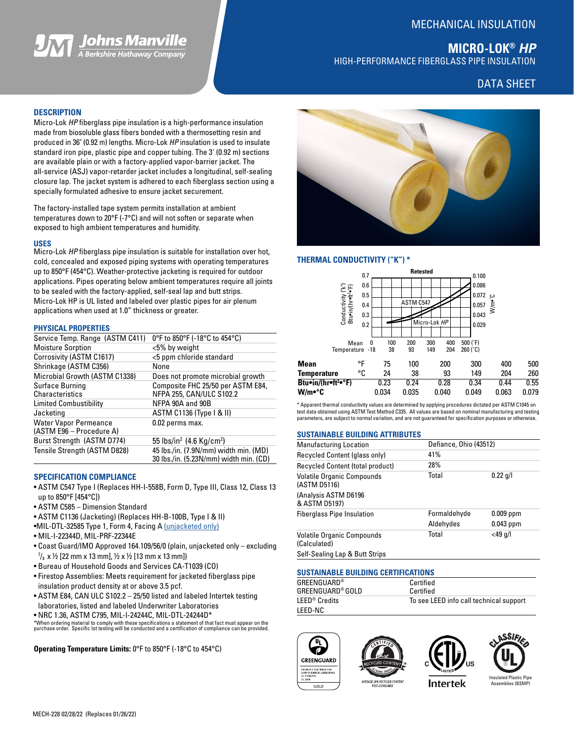# MECHANICAL INSULATION



## DATA SHEET

## **DESCRIPTION**

Micro-Lok *HP* fiberglass pipe insulation is a high-performance insulation made from biosoluble glass fibers bonded with a thermosetting resin and produced in 36" (0.92 m) lengths. Micro-Lok *HP* insulation is used to insulate standard iron pipe, plastic pipe and copper tubing. The 3' (0.92 m) sections are available plain or with a factory-applied vapor-barrier jacket. The all-service (ASJ) vapor-retarder jacket includes a longitudinal, self-sealing closure lap. The jacket system is adhered to each fiberglass section using a specially formulated adhesive to ensure jacket securement.

*Johns Manville*<br>A Berkshire Hathaway Company

The factory-installed tape system permits installation at ambient temperatures down to 20°F (-7°C) and will not soften or separate when exposed to high ambient temperatures and humidity.

#### **USES**

Micro-Lok *HP* fiberglass pipe insulation is suitable for installation over hot, cold, concealed and exposed piping systems with operating temperatures up to 850°F (454°C). Weather-protective jacketing is required for outdoor applications. Pipes operating below ambient temperatures require all joints to be sealed with the factory-applied, self-seal lap and butt strips. Micro-Lok HP is UL listed and labeled over plastic pipes for air plenum applications when used at 1.0" thickness or greater.

#### **PHYSICAL PROPERTIES**

| Service Temp. Range (ASTM C411) | 0°F to 850°F (-18°C to 454°C)                    |
|---------------------------------|--------------------------------------------------|
| <b>Moisture Sorption</b>        | <5% by weight                                    |
| Corrosivity (ASTM C1617)        | <5 ppm chloride standard                         |
| Shrinkage (ASTM C356)           | None                                             |
| Microbial Growth (ASTM C1338)   | Does not promote microbial growth                |
| Surface Burning                 | Composite FHC 25/50 per ASTM E84,                |
| Characteristics                 | NFPA 255, CAN/ULC S102.2                         |
| Limited Combustibility          | NFPA 90A and 90B                                 |
| Jacketing                       | ASTM C1136 (Type I & II)                         |
| <b>Water Vapor Permeance</b>    | 0.02 perms max.                                  |
| (ASTM E96 - Procedure A)        |                                                  |
| Burst Strength (ASTM D774)      | 55 lbs/in <sup>2</sup> (4.6 Kg/cm <sup>2</sup> ) |
| Tensile Strength (ASTM D828)    | 45 lbs./in. (7.9N/mm) width min. (MD)            |
|                                 | 30 lbs./in. (5.23N/mm) width min. (CD)           |

### **SPECIFICATION COMPLIANCE**

- ASTM C547 Type I (Replaces HH-I-558B, Form D, Type III, Class 12, Class 13 up to 850°F [454°C])
- ASTM C585 Dimension Standard
- ASTM C1136 (Jacketing) (Replaces HH-B-100B, Type I & II)
- •MIL-DTL-32585 Type 1, Form 4, Facing A [\(unjacketed only\)](https://www.jm.com/en/mechanical/pipe-insulation/micro-lok-hp-plain/)
- MIL-I-22344D, MIL-PRF-22344E
- Coast Guard/IMO Approved 164.109/56/0 (plain, unjacketed only excluding  $\frac{7}{8}$  x ½ [22 mm x 13 mm], ½ x ½ [13 mm x 13 mm])
- Bureau of Household Goods and Services CA-T1039 (CO)
- Firestop Assemblies: Meets requirement for jacketed fiberglass pipe insulation product density at or above 3.5 pcf.
- ASTM E84, CAN ULC S102.2 25/50 listed and labeled Intertek testing laboratories, listed and labeled Underwriter Laboratories
- NRC 1.36, ASTM C795, MIL-I-24244C, MIL-DTL-24244D\*

\*When ordering material to comply with these specifications a statement of that fact must appear on the purchase order. Specific lot testing will be conducted and a certification of compliance can be provided.

**Operating Temperature Limits:** 0°F to 850°F (-18°C to 454°C)



## **THERMAL CONDUCTIVITY ("K") \***



\* Apparent thermal conductivity values are determined by applying procedures dictated per ASTM C1045 on test data obtained using ASTM Test Method C335. All values are based on nominal manufacturing and testing parameters, are subject to normal variation, and are not guaranteed for specification purposes or otherwise.

#### **SUSTAINABLE BUILDING ATTRIBUTES**

| <b>Manufacturing Location</b>                     |                           | Defiance, Ohio (43512)     |  |  |
|---------------------------------------------------|---------------------------|----------------------------|--|--|
| Recycled Content (glass only)                     | 41%                       |                            |  |  |
| Recycled Content (total product)                  | 28%                       |                            |  |  |
| <b>Volatile Organic Compounds</b><br>(ASTM D5116) | Total                     | $0.22$ g/l                 |  |  |
| (Analysis ASTM D6196<br>& ASTM D5197)             |                           |                            |  |  |
| <b>Fiberglass Pipe Insulation</b>                 | Formaldehyde<br>Aldehydes | $0.009$ ppm<br>$0.043$ ppm |  |  |
| <b>Volatile Organic Compounds</b><br>(Calculated) | Total                     | $<$ 49 g/l                 |  |  |
| Self-Sealing Lap & Butt Strips                    |                           |                            |  |  |

| SUSTAINABLE BUILDING CERTIFICATIONS |                                         |  |  |  |  |
|-------------------------------------|-----------------------------------------|--|--|--|--|
| ${\sf GREENGUARD^{\circledast}}$    | Certified                               |  |  |  |  |
| GREENGUARD® GOLD                    | Certified                               |  |  |  |  |
| LEED® Credits                       | To see LEED info call technical support |  |  |  |  |
| LEED-NC                             |                                         |  |  |  |  |









Assemblies (BSMP)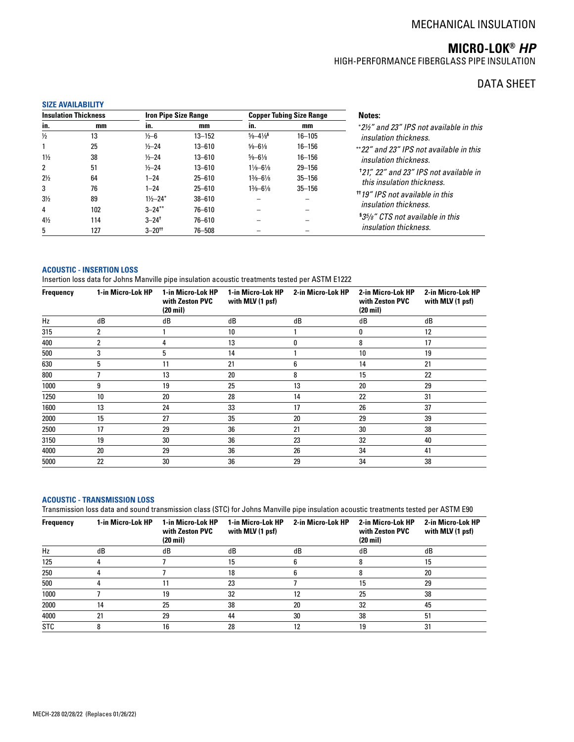# **MICRO-LOK®** *HP*

HIGH-PERFORMANCE FIBERGLASS PIPE INSULATION

# DATA SHEET

|                             | <b>SIZE AVAILABILITY</b> |                                 |            |                                 |            |                                                    |  |
|-----------------------------|--------------------------|---------------------------------|------------|---------------------------------|------------|----------------------------------------------------|--|
| <b>Insulation Thickness</b> |                          | <b>Iron Pipe Size Range</b>     |            | <b>Copper Tubing Size Range</b> |            | Notes:                                             |  |
| in.                         | mm                       | In.                             | mm         | In.                             | mm         | *2½" and 23" IPS not available in this             |  |
| $\frac{1}{2}$               | 13                       | $\frac{1}{2}$ -6                | $13 - 152$ | $\frac{5}{8} - \frac{41}{8}$    | $16 - 105$ | <i>insulation thickness.</i>                       |  |
|                             | 25                       | $1/2 - 24$                      | $13 - 610$ | $\frac{5}{8} - 6\frac{1}{8}$    | $16 - 156$ | **22" and 23" IPS not available in this            |  |
| $1\frac{1}{2}$              | 38                       | $1/2 - 24$                      | $13 - 610$ | $\frac{5}{8} - 6\frac{1}{8}$    | $16 - 156$ | <i>insulation thickness.</i>                       |  |
| $\overline{2}$              | 51                       | $1/2 - 24$                      | $13 - 610$ | $1\frac{1}{8} - 6\frac{1}{8}$   | $29 - 156$ | <sup>t</sup> 21," 22" and 23" IPS not available in |  |
| $2\frac{1}{2}$              | 64                       | 1–24                            | 25-610     | $1\frac{3}{8} - 6\frac{1}{8}$   | $35 - 156$ | this insulation thickness.                         |  |
| 3                           | 76                       | 1–24                            | $25 - 610$ | $1\frac{3}{8} - 6\frac{1}{8}$   | $35 - 156$ |                                                    |  |
| $3\frac{1}{2}$              | 89                       | $1\frac{1}{2}$ –24 <sup>*</sup> | $38 - 610$ |                                 |            | <sup>#</sup> 19" IPS not available in this         |  |
| 4                           | 102                      | $3 - 24$ **                     | 76-610     |                                 |            | <i>insulation thickness.</i>                       |  |
| $4\frac{1}{2}$              | 114                      | $3 - 24$ <sup>†</sup>           | $76 - 610$ |                                 |            | \$35/8" CTS not available in this                  |  |
| 5                           | 127                      | $3 - 20$ <sup>††</sup>          | 76-508     |                                 |            | <i>insulation thickness.</i>                       |  |

## **ACOUSTIC - INSERTION LOSS**

Insertion loss data for Johns Manville pipe insulation acoustic treatments tested per ASTM E1222

| <b>Frequency</b> | 1-in Micro-Lok HP | 1-in Micro-Lok HP<br>with Zeston PVC<br>$(20 \text{ mil})$ | 1-in Micro-Lok HP<br>with MLV (1 psf) | 2-in Micro-Lok HP | 2-in Micro-Lok HP<br>with Zeston PVC<br>$(20 \text{ mil})$ | 2-in Micro-Lok HP<br>with MLV (1 psf) |
|------------------|-------------------|------------------------------------------------------------|---------------------------------------|-------------------|------------------------------------------------------------|---------------------------------------|
| Hz               | dB                | dB                                                         | dB                                    | dB                | dB                                                         | dB                                    |
| 315              | 2                 |                                                            | 10                                    |                   | 0                                                          | 12                                    |
| 400              | 2                 | 4                                                          | 13                                    | 0                 | 8                                                          | 17                                    |
| 500              | 3                 | 5                                                          | 14                                    |                   | 10                                                         | 19                                    |
| 630              | 5                 | 11                                                         | 21                                    | 6                 | 14                                                         | 21                                    |
| 800              |                   | 13                                                         | 20                                    | 8                 | 15                                                         | 22                                    |
| 1000             | 9                 | 19                                                         | 25                                    | 13                | 20                                                         | 29                                    |
| 1250             | 10                | 20                                                         | 28                                    | 14                | 22                                                         | 31                                    |
| 1600             | 13                | 24                                                         | 33                                    | 17                | 26                                                         | 37                                    |
| 2000             | 15                | 27                                                         | 35                                    | 20                | 29                                                         | 39                                    |
| 2500             | 17                | 29                                                         | 36                                    | 21                | 30                                                         | 38                                    |
| 3150             | 19                | 30                                                         | 36                                    | 23                | 32                                                         | 40                                    |
| 4000             | 20                | 29                                                         | 36                                    | 26                | 34                                                         | 41                                    |
| 5000             | 22                | 30                                                         | 36                                    | 29                | 34                                                         | 38                                    |

## **ACOUSTIC - TRANSMISSION LOSS**

Transmission loss data and sound transmission class (STC) for Johns Manville pipe insulation acoustic treatments tested per ASTM E90

| <b>Frequency</b> | 1-in Micro-Lok HP | 1-in Micro-Lok HP<br>with Zeston PVC<br>$(20 \text{ mil})$ | 1-in Micro-Lok HP<br>with MLV (1 psf) | 2-in Micro-Lok HP | 2-in Micro-Lok HP<br>with Zeston PVC<br>$(20 \text{ mil})$ | 2-in Micro-Lok HP<br>with MLV (1 psf) |
|------------------|-------------------|------------------------------------------------------------|---------------------------------------|-------------------|------------------------------------------------------------|---------------------------------------|
| Hz               | dB                | dB                                                         | dB                                    | dB                | dB                                                         | dB                                    |
| 125              |                   |                                                            | 15                                    |                   |                                                            | 15                                    |
| 250              |                   |                                                            | 18                                    |                   |                                                            | 20                                    |
| 500              |                   |                                                            | 23                                    |                   | 15                                                         | 29                                    |
| 1000             |                   | 19                                                         | 32                                    | 12                | 25                                                         | 38                                    |
| 2000             | 14                | 25                                                         | 38                                    | 20                | 32                                                         | 45                                    |
| 4000             | 21                | 29                                                         | 44                                    | 30                | 38                                                         | 51                                    |
| <b>STC</b>       |                   | 16                                                         | 28                                    |                   | 19                                                         | 31                                    |